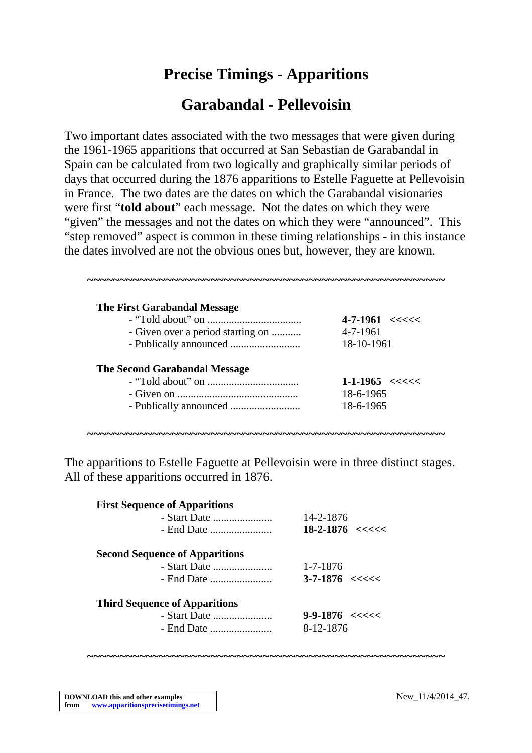# **Precise Timings - Apparitions**

## **Garabandal - Pellevoisin**

Two important dates associated with the two messages that were given during the 1961-1965 apparitions that occurred at San Sebastian de Garabandal in Spain can be calculated from two logically and graphically similar periods of days that occurred during the 1876 apparitions to Estelle Faguette at Pellevoisin in France. The two dates are the dates on which the Garabandal visionaries were first "**told about**" each message. Not the dates on which they were "given" the messages and not the dates on which they were "announced". This "step removed" aspect is common in these timing relationships - in this instance the dates involved are not the obvious ones but, however, they are known.

| <b>The First Garabandal Message</b>  |                                      |
|--------------------------------------|--------------------------------------|
|                                      | $4 - 7 - 1961 < \leq \leq \leq \leq$ |
| - Given over a period starting on    | 4-7-1961                             |
|                                      | 18-10-1961                           |
| <b>The Second Garabandal Message</b> |                                      |
|                                      | $1-1-1965 < \text{<<} < \text{<<}$   |
|                                      | 18-6-1965                            |
|                                      | 18-6-1965                            |

The apparitions to Estelle Faguette at Pellevoisin were in three distinct stages. All of these apparitions occurred in 1876.

**~~~~~~~~~~~~~~~~~~~~~~~~~~~~~~~~~~~~~~~~~~~~~~~~~~~~~~~**

| <b>First Sequence of Apparitions</b>  |                                     |
|---------------------------------------|-------------------------------------|
| - Start Date $\ldots$                 | 14-2-1876                           |
|                                       | $18 - 2 - 1876 \leq \leq \leq \leq$ |
| <b>Second Sequence of Apparitions</b> |                                     |
|                                       | 1-7-1876                            |
|                                       | $3 - 7 - 1876 \leq \leq \leq \leq$  |
| <b>Third Sequence of Apparitions</b>  |                                     |
| - Start Date                          | $9 - 9 - 1876 \leq \leq \leq \leq$  |
|                                       | 8-12-1876                           |

**~~~~~~~~~~~~~~~~~~~~~~~~~~~~~~~~~~~~~~~~~~~~~~~~~~~~~~~**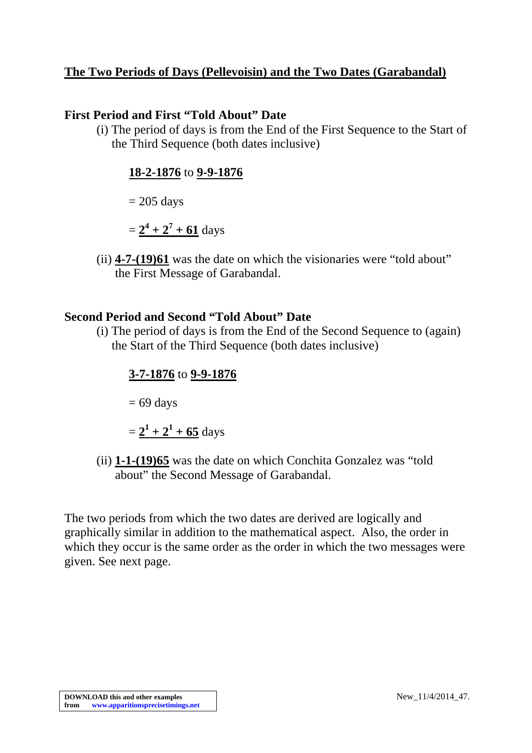#### **The Two Periods of Days (Pellevoisin) and the Two Dates (Garabandal)**

#### **First Period and First "Told About" Date**

(i) The period of days is from the End of the First Sequence to the Start of the Third Sequence (both dates inclusive)

#### **18-2-1876** to **9-9-1876**

 $= 205$  days

 $= 2^4 + 2^7 + 61$  days

(ii) **4-7-(19)61** was the date on which the visionaries were "told about" the First Message of Garabandal.

#### **Second Period and Second "Told About" Date**

(i) The period of days is from the End of the Second Sequence to (again) the Start of the Third Sequence (both dates inclusive)

#### **3-7-1876** to **9-9-1876**

 $= 69$  days

 $= 2^1 + 2^1 + 65$  days

(ii) **1-1-(19)65** was the date on which Conchita Gonzalez was "told about" the Second Message of Garabandal.

The two periods from which the two dates are derived are logically and graphically similar in addition to the mathematical aspect. Also, the order in which they occur is the same order as the order in which the two messages were given. See next page.